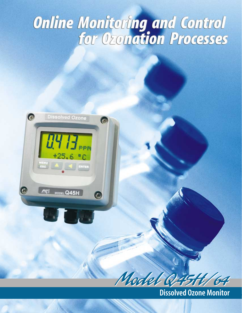# **Online Monitoring and Control<br>for Ozonation Processes**



Model

**Dissolved Ozone Monitor**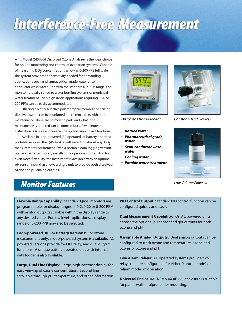# Interference-Free Measurement

ATI's Model Q45H/64 Dissolved Ozone Analyzer is the ideal choice for on-line monitoring and control of ozonation systems. Capable of measuring  $DO<sub>3</sub>$  concentrations as low as 0-200 PPB full scale, the system provides the sensitivity needed for demanding applications such as pharmaceutical grade water or semiconductor wash water. And with the standard 0-2 PPM range, the monitor is ideally suited to water bottling systems or municipal water treatment. Even high range applications requiring 0-20 or 0- 200 PPM can be easily accommodated.

Utilizing a highly selective polarographic membraned sensor, dissolved ozone can be monitored interference-free, with little maintenance. There are no moving parts and what little maintanence is required can be done in just a few minutes. Installation is simple and you can be up and running in a few hours.

Available in loop-powered, AC operated, or battery operated portable versions, the Q45H/64 is well suited for almost any  $DO<sub>3</sub>$ measurement requirement. Even a portable data-logging version is available for temporary installation or process studies. And for even more flexibility, the instrument is available with an optional pH sensor input that allows a single unit to provide both dissolved ozone and pH analog outputs.



- *Bottled water*
- *Pharmaceutical grade water*
- *Semi-conductor wash water*
- *Cooling water*
- *Potable water treatment*



*Dissolved Ozone Monitor Constant Head Flowcell*



*Low Volume Flowcell*

# *Monitor Features*

**Flexible Range Capability:** Standard Q45H monitors are programmable for display ranges of 0-2, 0-20 or 0-200 PPM with analog outputs scalable within the display range to any desired value. For low level applications, a display range of 0-200 PPB may also be selected.

**Loop-powered, AC, or Battery Versions:** For ozone measurement only, a loop-powered system is available. AC powered versions provide for PID, relay, and dual output functions. A unique battery operated unit with internal data logger is also available.

**Large, Dual Line Display:** Large, high-contrast display for easy viewing of ozone concentration. Second line scrollable through pH, temperature, and other information. **PID Control Output:** Standard PID control function can be configured quickly and easily.

**Dual Measurement Capability:** On AC powered units, choose the optional pH sensor and get outputs for both ozone and pH.

**Assignable Analog Outputs:** Dual analog outputs can be configured to track ozone and temperature, ozone and ozone, or ozone and pH.

**Two Alarm Relays:** AC operated systems provide two relays that are configurable for either "control mode" or "alarm mode" of operation.

**Universal Enclosure:** NEMA 4X (IP-66) enclosure is suitable for panel, wall, or pipe/header mounting.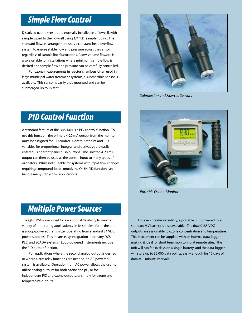# *Simple Flow Control*

Dissolved ozone sensors are normally installed in a flowcell, with sample piped to the flowcell using 1/4" I.D. sample tubing. The standard flowcell arrangement uses a constant-head overflow system to ensure stable flow and pressure across the sensor regardless of sample line fluctuations. A low-volume flowcell is also available for installations where minimum sample flow is desired and sample flow and pressure can be carefully controlled.

For ozone measurements in reactor chambers often used in large municipal water treatment systems, a submersible sensor is available. This sensor is easily pipe mounted and can be submerged up to 25 feet.

# *PID Control Function*

A standard feature of the Q45H/64 is a PID control function. To use this function, the primary 4-20 mA output from the monitor must be assigned for PID control. Control setpoint and PID variables for proportional, integral, and derivative are easily entered using front panel push buttons. The isolated 4-20 mA output can then be used as the control input to many types of ozonators. While not suitable for systems with rapid flow changes requiring compound-loop control, the Q45H PID function can handle many stable flow applications.



*Submersion and Flowcell Sensors*



*Portable Ozone Monitor*

## *Multiple Power Sources*

The Q45H/64 is designed for exceptional flexibility to meet a variety of monitoring applications. In its simplest form, the unit is a loop-powered transmitter operating from standard 24 VDC power supplies. This means easy integration into many DCS, PLC, and SCADA systems. Loop-powered instruments include the PID output function.

For applications where the second analog output is desired or where alarm relay functions are needed, an AC powered system is available. Operation from AC power allows the user to utilize analog outputs for both ozone and pH, or for independent PID and ozone outputs, or simply for ozone and temperature outputs.

For even greater versatility, a portable unit powered by a standard 9 V battery is also available. The dual 0-2.5 VDC outputs are assignable to ozone concentration and temperature. This instrument can be supplied with an internal data-logger, making it ideal for short term monitoring at remote sites. The unit will run for 10 days on a single battery, and the data-logger will store up to 32,000 data points, easily enough for 10 days of data at 1-minute intervals.